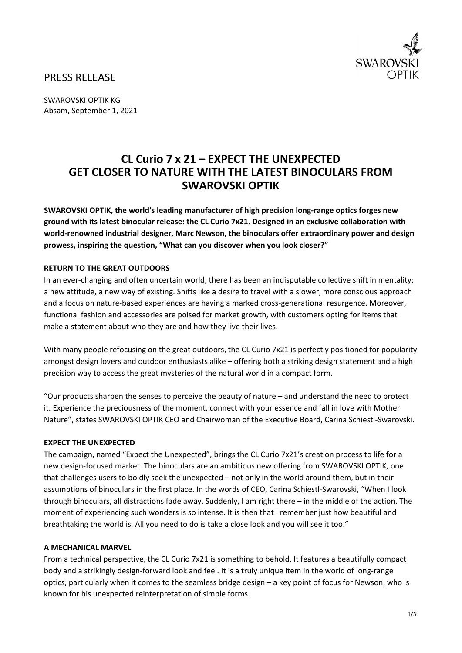

# PRESS RELEASE

SWAROVSKI OPTIK KG Absam, September 1, 2021

# **CL Curio 7 x 21 – EXPECT THE UNEXPECTED GET CLOSER TO NATURE WITH THE LATEST BINOCULARS FROM SWAROVSKI OPTIK**

**SWAROVSKI OPTIK, the world's leading manufacturer of high precision long-range optics forges new ground with its latest binocular release: the CL Curio 7x21. Designed in an exclusive collaboration with world-renowned industrial designer, Marc Newson, the binoculars offer extraordinary power and design prowess, inspiring the question, "What can you discover when you look closer?"**

## **RETURN TO THE GREAT OUTDOORS**

In an ever-changing and often uncertain world, there has been an indisputable collective shift in mentality: a new attitude, a new way of existing. Shifts like a desire to travel with a slower, more conscious approach and a focus on nature-based experiences are having a marked cross-generational resurgence. Moreover, functional fashion and accessories are poised for market growth, with customers opting for items that make a statement about who they are and how they live their lives.

With many people refocusing on the great outdoors, the CL Curio 7x21 is perfectly positioned for popularity amongst design lovers and outdoor enthusiasts alike – offering both a striking design statement and a high precision way to access the great mysteries of the natural world in a compact form.

"Our products sharpen the senses to perceive the beauty of nature – and understand the need to protect it. Experience the preciousness of the moment, connect with your essence and fall in love with Mother Nature", states SWAROVSKI OPTIK CEO and Chairwoman of the Executive Board, Carina Schiestl-Swarovski.

#### **EXPECT THE UNEXPECTED**

The campaign, named "Expect the Unexpected", brings the CL Curio 7x21's creation process to life for a new design-focused market. The binoculars are an ambitious new offering from SWAROVSKI OPTIK, one that challenges users to boldly seek the unexpected – not only in the world around them, but in their assumptions of binoculars in the first place. In the words of CEO, Carina Schiestl-Swarovski, "When I look through binoculars, all distractions fade away. Suddenly, I am right there – in the middle of the action. The moment of experiencing such wonders is so intense. It is then that I remember just how beautiful and breathtaking the world is. All you need to do is take a close look and you will see it too."

### **A MECHANICAL MARVEL**

From a technical perspective, the CL Curio 7x21 is something to behold. It features a beautifully compact body and a strikingly design-forward look and feel. It is a truly unique item in the world of long-range optics, particularly when it comes to the seamless bridge design – a key point of focus for Newson, who is known for his unexpected reinterpretation of simple forms.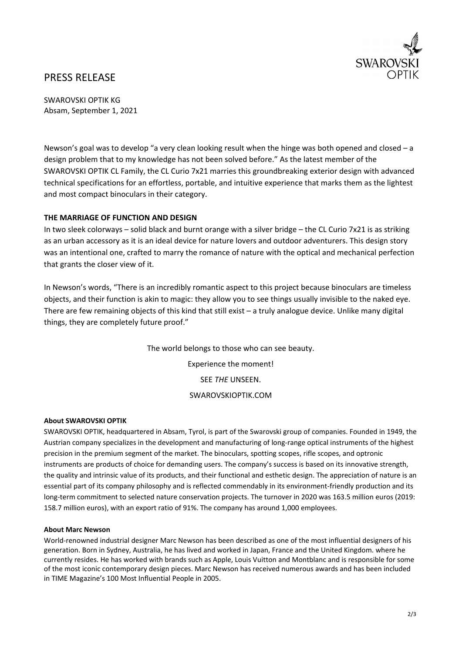

# PRESS RELEASE

SWAROVSKI OPTIK KG Absam, September 1, 2021

Newson's goal was to develop "a very clean looking result when the hinge was both opened and closed – a design problem that to my knowledge has not been solved before." As the latest member of the SWAROVSKI OPTIK CL Family, the CL Curio 7x21 marries this groundbreaking exterior design with advanced technical specifications for an effortless, portable, and intuitive experience that marks them as the lightest and most compact binoculars in their category.

### **THE MARRIAGE OF FUNCTION AND DESIGN**

In two sleek colorways – solid black and burnt orange with a silver bridge – the CL Curio 7x21 is as striking as an urban accessory as it is an ideal device for nature lovers and outdoor adventurers. This design story was an intentional one, crafted to marry the romance of nature with the optical and mechanical perfection that grants the closer view of it.

In Newson's words, "There is an incredibly romantic aspect to this project because binoculars are timeless objects, and their function is akin to magic: they allow you to see things usually invisible to the naked eye. There are few remaining objects of this kind that still exist – a truly analogue device. Unlike many digital things, they are completely future proof."

> The world belongs to those who can see beauty. Experience the moment! SEE *THE* UNSEEN. SWAROVSKIOPTIK.COM

### **About SWAROVSKI OPTIK**

SWAROVSKI OPTIK, headquartered in Absam, Tyrol, is part of the Swarovski group of companies. Founded in 1949, the Austrian company specializes in the development and manufacturing of long-range optical instruments of the highest precision in the premium segment of the market. The binoculars, spotting scopes, rifle scopes, and optronic instruments are products of choice for demanding users. The company's success is based on its innovative strength, the quality and intrinsic value of its products, and their functional and esthetic design. The appreciation of nature is an essential part of its company philosophy and is reflected commendably in its environment-friendly production and its long-term commitment to selected nature conservation projects. The turnover in 2020 was 163.5 million euros (2019: 158.7 million euros), with an export ratio of 91%. The company has around 1,000 employees.

#### **About Marc Newson**

World-renowned industrial designer Marc Newson has been described as one of the most influential designers of his generation. Born in Sydney, Australia, he has lived and worked in Japan, France and the United Kingdom. where he currently resides. He has worked with brands such as Apple, Louis Vuitton and Montblanc and is responsible for some of the most iconic contemporary design pieces. Marc Newson has received numerous awards and has been included in TIME Magazine's 100 Most Influential People in 2005.